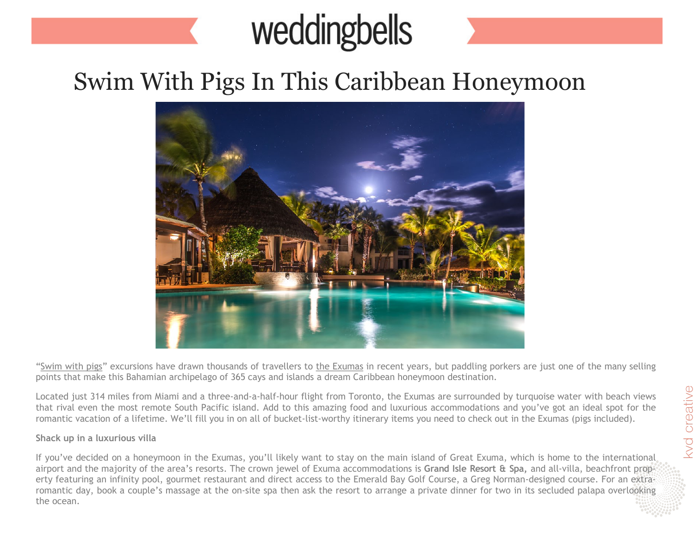## weddingbells

## Swim With Pigs In This Caribbean Honeymoon



["Swim with pigs"](http://www.bahamas.com/swimmingpigs) excursions have drawn thousands of travellers to [the Exumas](http://www.bahamas.com/islands/exumas) in recent years, but paddling porkers are just one of the many selling points that make this Bahamian archipelago of 365 cays and islands a dream Caribbean honeymoon destination.

Located just 314 miles from Miami and a three-and-a-half-hour flight from Toronto, the Exumas are surrounded by turquoise water with beach views that rival even the most remote South Pacific island. Add to this amazing food and luxurious accommodations and you've got an ideal spot for the romantic vacation of a lifetime. We'll fill you in on all of bucket-list-worthy itinerary items you need to check out in the Exumas (pigs included).

## **Shack up in a luxurious villa**

If you've decided on a honeymoon in the Exumas, you'll likely want to stay on the main island of Great Exuma, which is home to the international airport and the majority of the area's resorts. The crown jewel of Exuma accommodations is **Grand Isle Resort & Spa,** and all-villa, beachfront property featuring an infinity pool, gourmet restaurant and direct access to the Emerald Bay Golf Course, a Greg Norman-designed course. For an extraromantic day, book a couple's massage at the on-site spa then ask the resort to arrange a private dinner for two in its secluded palapa overlooking the ocean.